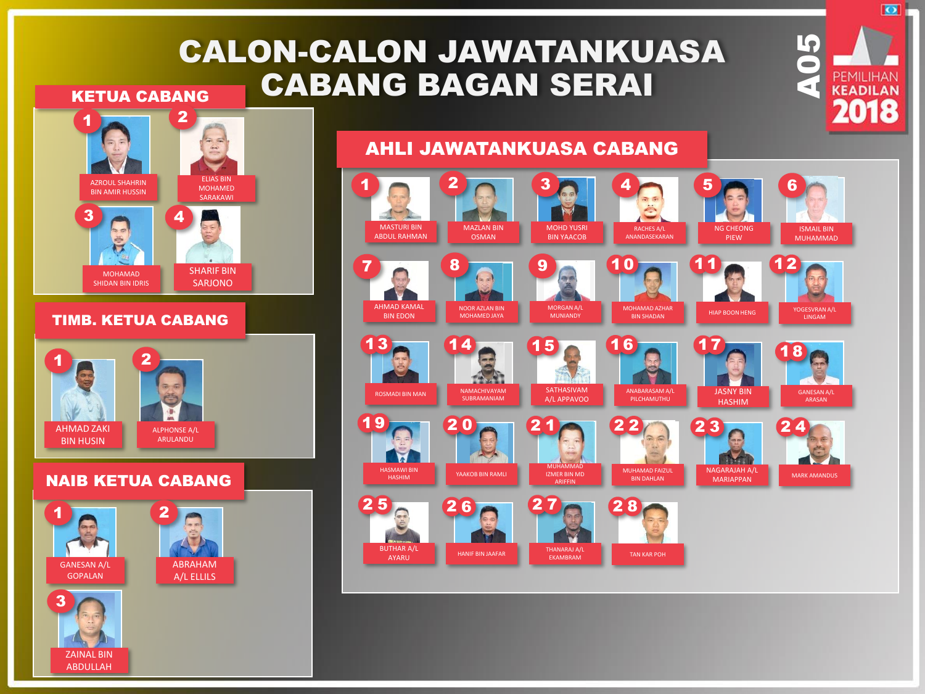## CALON-CALON JAWATANKUASA CABANG BAGAN SERAI KETUA CABANG



NAIB KETUA CABANG

 $1 \bullet 2$ 

AHMAD ZAKI BIN HUSIN

> ZAINAL BIN ABDULLAH

GANESAN A/L GOPALAN

3

ALPHONSE A/L ARULANDU

> ABRAHAM A/L ELLILS

## AHLI JAWATANKUASA CABANG



**SO PEMILIHAN** 

7M

 $\overline{\bullet}$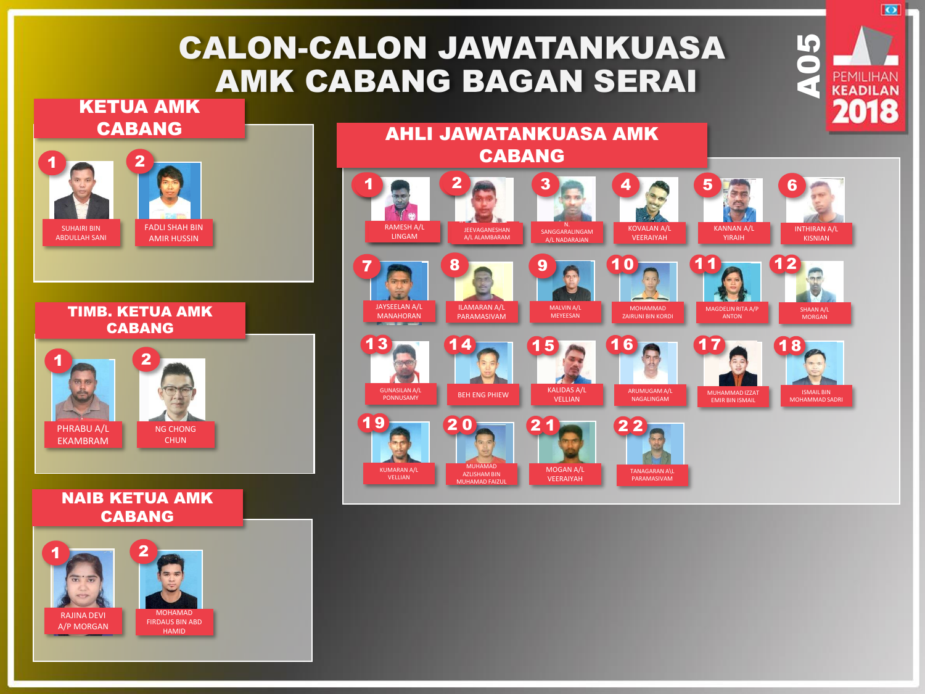## CALON-CALON JAWATANKUASA AMK CABANG BAGAN SERAI

## KETUA AMK CABANG





#### NAIB KETUA AMK CABANG





 $\overline{\bullet}$